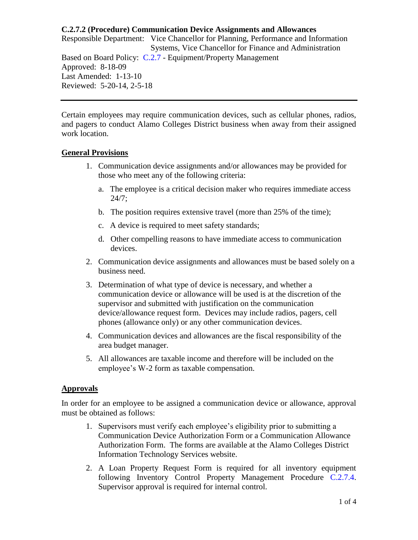Responsible Department: Vice Chancellor for Planning, Performance and Information Systems, Vice Chancellor for Finance and Administration Based on Board Policy: [C.2.7](https://www.alamo.edu/siteassets/district/about-us/leadership/board-of-trustees/policies-pdfs/section-c/c.2.7-policy.pdf) - Equipment/Property Management Approved: 8-18-09 Last Amended: 1-13-10 Reviewed: 5-20-14, 2-5-18

Certain employees may require communication devices, such as cellular phones, radios, and pagers to conduct Alamo Colleges District business when away from their assigned work location.

#### **General Provisions**

- 1. Communication device assignments and/or allowances may be provided for those who meet any of the following criteria:
	- a. The employee is a critical decision maker who requires immediate access 24/7;
	- b. The position requires extensive travel (more than 25% of the time);
	- c. A device is required to meet safety standards;
	- d. Other compelling reasons to have immediate access to communication devices.
- 2. Communication device assignments and allowances must be based solely on a business need.
- 3. Determination of what type of device is necessary, and whether a communication device or allowance will be used is at the discretion of the supervisor and submitted with justification on the communication device/allowance request form. Devices may include radios, pagers, cell phones (allowance only) or any other communication devices.
- 4. Communication devices and allowances are the fiscal responsibility of the area budget manager.
- 5. All allowances are taxable income and therefore will be included on the employee's W-2 form as taxable compensation.

### **Approvals**

In order for an employee to be assigned a communication device or allowance, approval must be obtained as follows:

- 1. Supervisors must verify each employee's eligibility prior to submitting a Communication Device Authorization Form or a Communication Allowance Authorization Form. The forms are available at the Alamo Colleges District Information Technology Services website.
- 2. A Loan Property Request Form is required for all inventory equipment following Inventory Control Property Management Procedure [C.2.7.4.](https://www.alamo.edu/siteassets/district/about-us/leadership/board-of-trustees/policies-pdfs/section-c/c.2.7.4-procedure1.pdf) Supervisor approval is required for internal control.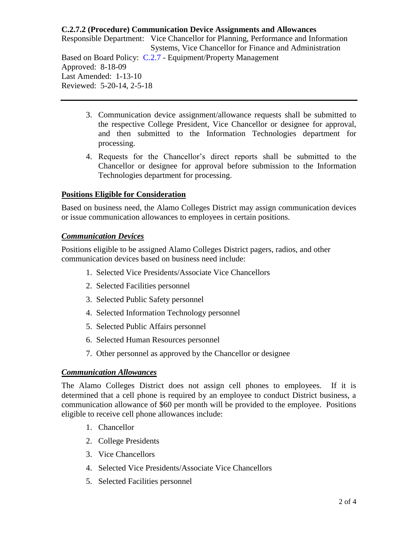Responsible Department: Vice Chancellor for Planning, Performance and Information Systems, Vice Chancellor for Finance and Administration Based on Board Policy: [C.2.7](https://www.alamo.edu/siteassets/district/about-us/leadership/board-of-trustees/policies-pdfs/section-c/c.2.7-policy.pdf) - Equipment/Property Management Approved: 8-18-09 Last Amended: 1-13-10 Reviewed: 5-20-14, 2-5-18

- 3. Communication device assignment/allowance requests shall be submitted to the respective College President, Vice Chancellor or designee for approval, and then submitted to the Information Technologies department for processing.
- 4. Requests for the Chancellor's direct reports shall be submitted to the Chancellor or designee for approval before submission to the Information Technologies department for processing.

# **Positions Eligible for Consideration**

Based on business need, the Alamo Colleges District may assign communication devices or issue communication allowances to employees in certain positions.

### *Communication Devices*

Positions eligible to be assigned Alamo Colleges District pagers, radios, and other communication devices based on business need include:

- 1. Selected Vice Presidents/Associate Vice Chancellors
- 2. Selected Facilities personnel
- 3. Selected Public Safety personnel
- 4. Selected Information Technology personnel
- 5. Selected Public Affairs personnel
- 6. Selected Human Resources personnel
- 7. Other personnel as approved by the Chancellor or designee

### *Communication Allowances*

The Alamo Colleges District does not assign cell phones to employees. If it is determined that a cell phone is required by an employee to conduct District business, a communication allowance of \$60 per month will be provided to the employee. Positions eligible to receive cell phone allowances include:

- 1. Chancellor
- 2. College Presidents
- 3. Vice Chancellors
- 4. Selected Vice Presidents/Associate Vice Chancellors
- 5. Selected Facilities personnel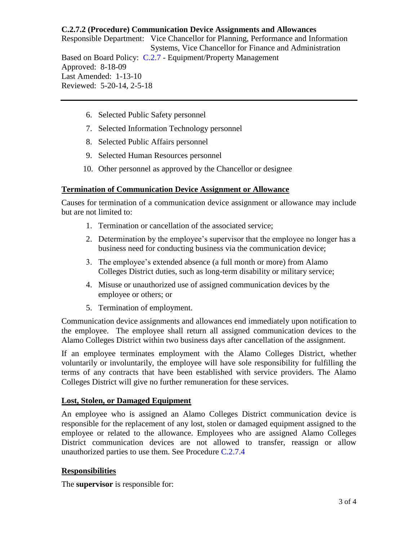Responsible Department: Vice Chancellor for Planning, Performance and Information Systems, Vice Chancellor for Finance and Administration Based on Board Policy: [C.2.7](https://www.alamo.edu/siteassets/district/about-us/leadership/board-of-trustees/policies-pdfs/section-c/c.2.7-policy.pdf) - Equipment/Property Management Approved: 8-18-09 Last Amended: 1-13-10 Reviewed: 5-20-14, 2-5-18

- 6. Selected Public Safety personnel
- 7. Selected Information Technology personnel
- 8. Selected Public Affairs personnel
- 9. Selected Human Resources personnel
- 10. Other personnel as approved by the Chancellor or designee

#### **Termination of Communication Device Assignment or Allowance**

Causes for termination of a communication device assignment or allowance may include but are not limited to:

- 1. Termination or cancellation of the associated service;
- 2. Determination by the employee's supervisor that the employee no longer has a business need for conducting business via the communication device;
- 3. The employee's extended absence (a full month or more) from Alamo Colleges District duties, such as long-term disability or military service;
- 4. Misuse or unauthorized use of assigned communication devices by the employee or others; or
- 5. Termination of employment.

Communication device assignments and allowances end immediately upon notification to the employee. The employee shall return all assigned communication devices to the Alamo Colleges District within two business days after cancellation of the assignment.

If an employee terminates employment with the Alamo Colleges District, whether voluntarily or involuntarily, the employee will have sole responsibility for fulfilling the terms of any contracts that have been established with service providers. The Alamo Colleges District will give no further remuneration for these services.

### **Lost, Stolen, or Damaged Equipment**

An employee who is assigned an Alamo Colleges District communication device is responsible for the replacement of any lost, stolen or damaged equipment assigned to the employee or related to the allowance. Employees who are assigned Alamo Colleges District communication devices are not allowed to transfer, reassign or allow unauthorized parties to use them. See Procedure [C.2.7.4](https://www.alamo.edu/siteassets/district/about-us/leadership/board-of-trustees/policies-pdfs/section-c/c.2.7.4-procedure1.pdf)

### **Responsibilities**

The **supervisor** is responsible for: